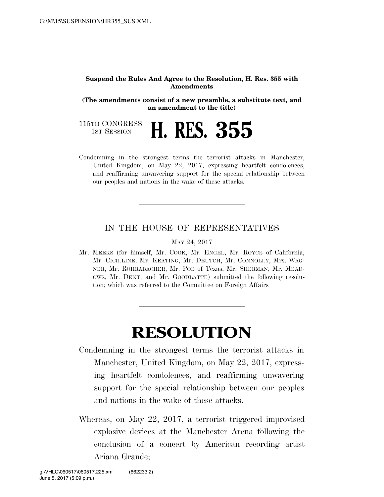## **Suspend the Rules And Agree to the Resolution, H. Res. 355 with Amendments**

**(The amendments consist of a new preamble, a substitute text, and an amendment to the title)** 

115TH CONGRESS<br>1st Session

1ST SESSION **H. RES. 355** 

Condemning in the strongest terms the terrorist attacks in Manchester, United Kingdom, on May 22, 2017, expressing heartfelt condolences, and reaffirming unwavering support for the special relationship between our peoples and nations in the wake of these attacks.

## IN THE HOUSE OF REPRESENTATIVES

MAY 24, 2017

Mr. MEEKS (for himself, Mr. COOK, Mr. ENGEL, Mr. ROYCE of California, Mr. CICILLINE, Mr. KEATING, Mr. DEUTCH, Mr. CONNOLLY, Mrs. WAG-NER, Mr. ROHRABACHER, Mr. POE of Texas, Mr. SHERMAN, Mr. MEAD-OWS, Mr. DENT, and Mr. GOODLATTE) submitted the following resolution; which was referred to the Committee on Foreign Affairs

## **RESOLUTION**

- Condemning in the strongest terms the terrorist attacks in Manchester, United Kingdom, on May 22, 2017, expressing heartfelt condolences, and reaffirming unwavering support for the special relationship between our peoples and nations in the wake of these attacks.
- Whereas, on May 22, 2017, a terrorist triggered improvised explosive devices at the Manchester Arena following the conclusion of a concert by American recording artist Ariana Grande;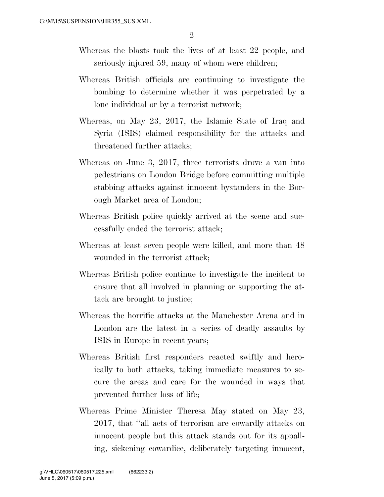- Whereas the blasts took the lives of at least 22 people, and seriously injured 59, many of whom were children;
- Whereas British officials are continuing to investigate the bombing to determine whether it was perpetrated by a lone individual or by a terrorist network;
- Whereas, on May 23, 2017, the Islamic State of Iraq and Syria (ISIS) claimed responsibility for the attacks and threatened further attacks;
- Whereas on June 3, 2017, three terrorists drove a van into pedestrians on London Bridge before committing multiple stabbing attacks against innocent bystanders in the Borough Market area of London;
- Whereas British police quickly arrived at the scene and successfully ended the terrorist attack;
- Whereas at least seven people were killed, and more than 48 wounded in the terrorist attack;
- Whereas British police continue to investigate the incident to ensure that all involved in planning or supporting the attack are brought to justice;
- Whereas the horrific attacks at the Manchester Arena and in London are the latest in a series of deadly assaults by ISIS in Europe in recent years;
- Whereas British first responders reacted swiftly and heroically to both attacks, taking immediate measures to secure the areas and care for the wounded in ways that prevented further loss of life;
- Whereas Prime Minister Theresa May stated on May 23, 2017, that ''all acts of terrorism are cowardly attacks on innocent people but this attack stands out for its appalling, sickening cowardice, deliberately targeting innocent,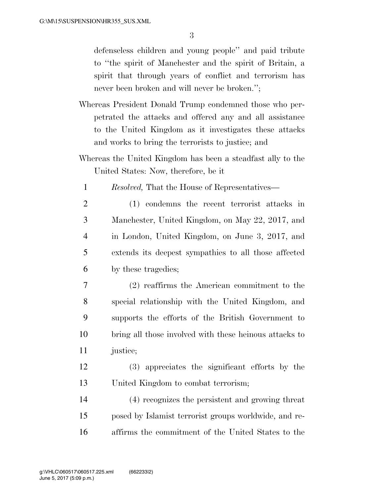3

defenseless children and young people'' and paid tribute to ''the spirit of Manchester and the spirit of Britain, a spirit that through years of conflict and terrorism has never been broken and will never be broken.'';

- Whereas President Donald Trump condemned those who perpetrated the attacks and offered any and all assistance to the United Kingdom as it investigates these attacks and works to bring the terrorists to justice; and
- Whereas the United Kingdom has been a steadfast ally to the United States: Now, therefore, be it
	- 1 *Resolved,* That the House of Representatives—
	- 2 (1) condemns the recent terrorist attacks in 3 Manchester, United Kingdom, on May 22, 2017, and 4 in London, United Kingdom, on June 3, 2017, and 5 extends its deepest sympathies to all those affected 6 by these tragedies;
- 7 (2) reaffirms the American commitment to the 8 special relationship with the United Kingdom, and 9 supports the efforts of the British Government to 10 bring all those involved with these heinous attacks to 11 justice;
- 12 (3) appreciates the significant efforts by the 13 United Kingdom to combat terrorism;
- 14 (4) recognizes the persistent and growing threat 15 posed by Islamist terrorist groups worldwide, and re-16 affirms the commitment of the United States to the